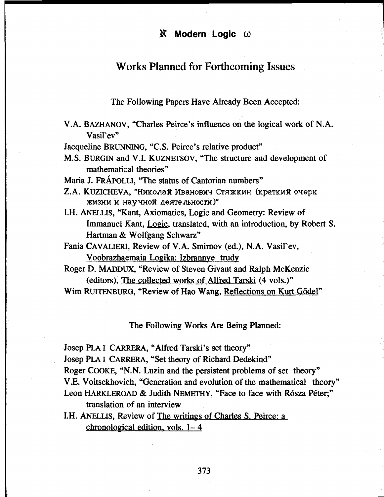## Works Planned for Forthcoming Issues

The Following Papers Have Already Been Accepted:

V.A. BAZHANOV, "Charles Peirce's influence on the logical work of N.A. Vasil`ev"

Jacqueline BRUNNING, "C.S. Peirce's relative product"

M.S. BÜRGIN and V.l. KUZNETSOV, "The structure and development of mathematical theories"

Maria J. FRÁPOLLI, "The status of Cantorian numbers"

- Z.A. KUZICHEVA, "Николай Иванович Стяжкин (краткий очерк жизни и научной деятельности)"
- I.H. ANELLIS, "Kant, Axiomatics, Logic and Geometry: Review of Immanuel Kant, Logic, translated, with an introduction, by Robert S. Hartman & Wolfgang Schwarz"
- Fania CAVALIERI, Review of V.A. Smirnov (ed.), N.A. Vasil`ev, Voobrazhaemaia Logika: Izbrannye trudy
- Roger D. MADDUX, "Review of Steven Givant and Ralph McKenzie (editors), The collected works of Alfred Tarski (4 vols.)"
- Wim RUITENBURG, "Review of Hao Wang, Reflections on Kurt Gödel"

The Following Works Are Being Planned:

Josep PLAI CARRERA, "Alfred Tarski's set theory"

Josep PLA I CARRERA, "Set theory of Richard Dedekind"

Roger COOKE, "N.N. Luzin and the persistent problems of set theory"

V.E. Voitsekhovich, "Generation and evolution of the mathematical theory"

- Leon HARKLEROAD & Judith NEMETHY, "Face to face with Rósza Péter;" translation of an interview
- I.H. ANELLIS, Review of The writings of Charles S. Peirce: a chronological edition, vols. 1- 4